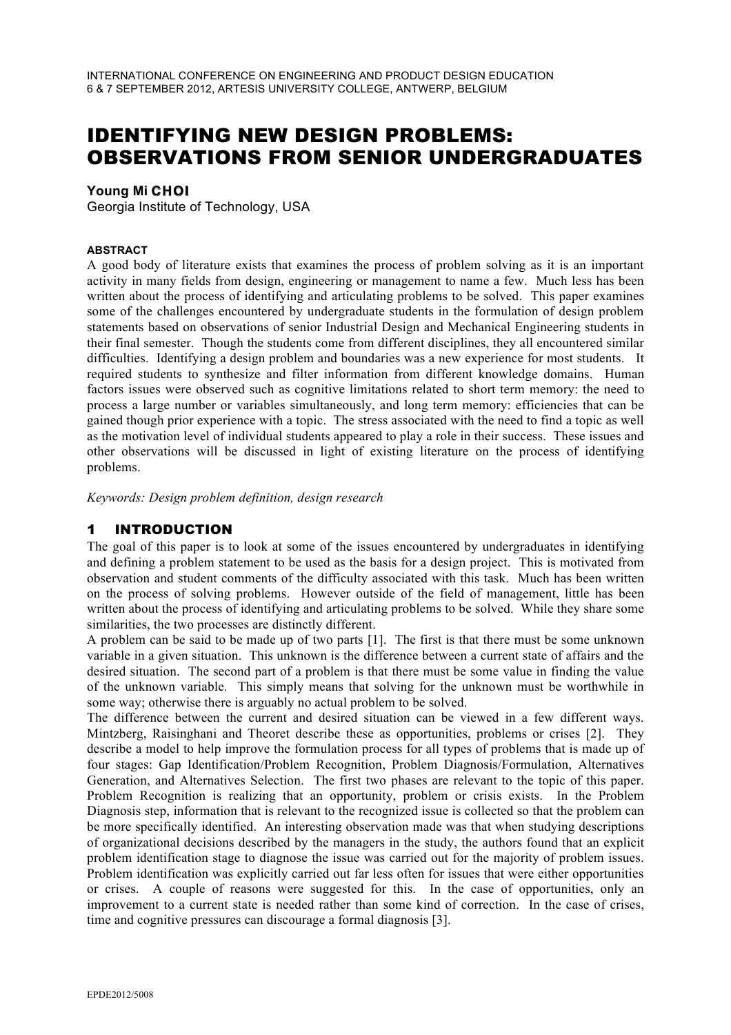# IDENTIFYING NEW DESIGN PROBLEMS: OBSERVATIONS FROM SENIOR UNDERGRADUATES

#### **Young Mi CHOI**

Georgia Institute of Technology, USA

#### **ABSTRACT**

A good body of literature exists that examines the process of problem solving as it is an important activity in many fields from design, engineering or management to name a few. Much less has been written about the process of identifying and articulating problems to be solved. This paper examines some of the challenges encountered by undergraduate students in the formulation of design problem statements based on observations of senior Industrial Design and Mechanical Engineering students in their final semester. Though the students come from different disciplines, they all encountered similar difficulties. Identifying a design problem and boundaries was a new experience for most students. It required students to synthesize and filter information from different knowledge domains. Human factors issues were observed such as cognitive limitations related to short term memory: the need to process a large number or variables simultaneously, and long term memory: efficiencies that can be gained though prior experience with a topic. The stress associated with the need to find a topic as well as the motivation level of individual students appeared to play a role in their success. These issues and other observations will be discussed in light of existing literature on the process of identifying problems.

*Keywords: Design problem definition, design research* 

### 1 INTRODUCTION

The goal of this paper is to look at some of the issues encountered by undergraduates in identifying and defining a problem statement to be used as the basis for a design project. This is motivated from observation and student comments of the difficulty associated with this task. Much has been written on the process of solving problems. However outside of the field of management, little has been written about the process of identifying and articulating problems to be solved. While they share some similarities, the two processes are distinctly different.

A problem can be said to be made up of two parts [1]. The first is that there must be some unknown variable in a given situation. This unknown is the difference between a current state of affairs and the desired situation. The second part of a problem is that there must be some value in finding the value of the unknown variable. This simply means that solving for the unknown must be worthwhile in some way; otherwise there is arguably no actual problem to be solved.

The difference between the current and desired situation can be viewed in a few different ways. Mintzberg, Raisinghani and Theoret describe these as opportunities, problems or crises [2]. They describe a model to help improve the formulation process for all types of problems that is made up of four stages: Gap Identification/Problem Recognition, Problem Diagnosis/Formulation, Alternatives Generation, and Alternatives Selection. The first two phases are relevant to the topic of this paper. Problem Recognition is realizing that an opportunity, problem or crisis exists. In the Problem Diagnosis step, information that is relevant to the recognized issue is collected so that the problem can be more specifically identified. An interesting observation made was that when studying descriptions of organizational decisions described by the managers in the study, the authors found that an explicit problem identification stage to diagnose the issue was carried out for the majority of problem issues. Problem identification was explicitly carried out far less often for issues that were either opportunities or crises. A couple of reasons were suggested for this. In the case of opportunities, only an improvement to a current state is needed rather than some kind of correction. In the case of crises, time and cognitive pressures can discourage a formal diagnosis [3].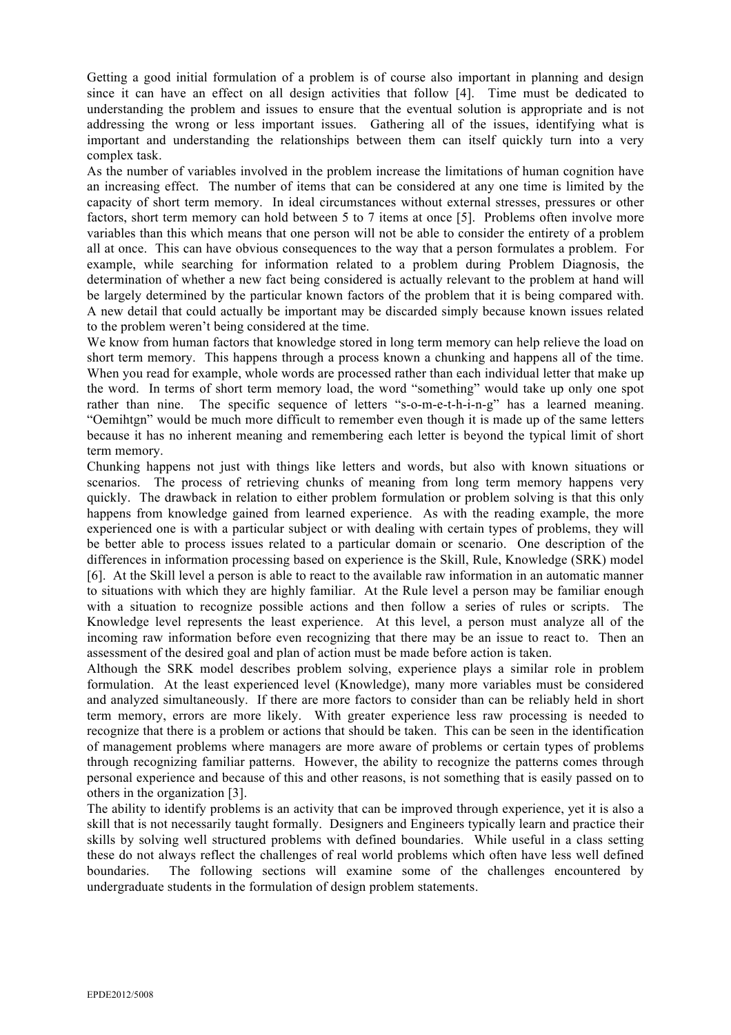Getting a good initial formulation of a problem is of course also important in planning and design since it can have an effect on all design activities that follow [4]. Time must be dedicated to understanding the problem and issues to ensure that the eventual solution is appropriate and is not addressing the wrong or less important issues. Gathering all of the issues, identifying what is important and understanding the relationships between them can itself quickly turn into a very complex task.

As the number of variables involved in the problem increase the limitations of human cognition have an increasing effect. The number of items that can be considered at any one time is limited by the capacity of short term memory. In ideal circumstances without external stresses, pressures or other factors, short term memory can hold between 5 to 7 items at once [5]. Problems often involve more variables than this which means that one person will not be able to consider the entirety of a problem all at once. This can have obvious consequences to the way that a person formulates a problem. For example, while searching for information related to a problem during Problem Diagnosis, the determination of whether a new fact being considered is actually relevant to the problem at hand will be largely determined by the particular known factors of the problem that it is being compared with. A new detail that could actually be important may be discarded simply because known issues related to the problem weren't being considered at the time.

We know from human factors that knowledge stored in long term memory can help relieve the load on short term memory. This happens through a process known a chunking and happens all of the time. When you read for example, whole words are processed rather than each individual letter that make up the word. In terms of short term memory load, the word "something" would take up only one spot rather than nine. The specific sequence of letters "s-o-m-e-t-h-i-n-g" has a learned meaning. "Oemihtgn" would be much more difficult to remember even though it is made up of the same letters because it has no inherent meaning and remembering each letter is beyond the typical limit of short term memory.

Chunking happens not just with things like letters and words, but also with known situations or scenarios. The process of retrieving chunks of meaning from long term memory happens very quickly. The drawback in relation to either problem formulation or problem solving is that this only happens from knowledge gained from learned experience. As with the reading example, the more experienced one is with a particular subject or with dealing with certain types of problems, they will be better able to process issues related to a particular domain or scenario. One description of the differences in information processing based on experience is the Skill, Rule, Knowledge (SRK) model [6]. At the Skill level a person is able to react to the available raw information in an automatic manner to situations with which they are highly familiar. At the Rule level a person may be familiar enough with a situation to recognize possible actions and then follow a series of rules or scripts. The Knowledge level represents the least experience. At this level, a person must analyze all of the incoming raw information before even recognizing that there may be an issue to react to. Then an assessment of the desired goal and plan of action must be made before action is taken.

Although the SRK model describes problem solving, experience plays a similar role in problem formulation. At the least experienced level (Knowledge), many more variables must be considered and analyzed simultaneously. If there are more factors to consider than can be reliably held in short term memory, errors are more likely. With greater experience less raw processing is needed to recognize that there is a problem or actions that should be taken. This can be seen in the identification of management problems where managers are more aware of problems or certain types of problems through recognizing familiar patterns. However, the ability to recognize the patterns comes through personal experience and because of this and other reasons, is not something that is easily passed on to others in the organization [3].

The ability to identify problems is an activity that can be improved through experience, yet it is also a skill that is not necessarily taught formally. Designers and Engineers typically learn and practice their skills by solving well structured problems with defined boundaries. While useful in a class setting these do not always reflect the challenges of real world problems which often have less well defined boundaries. The following sections will examine some of the challenges encountered by undergraduate students in the formulation of design problem statements.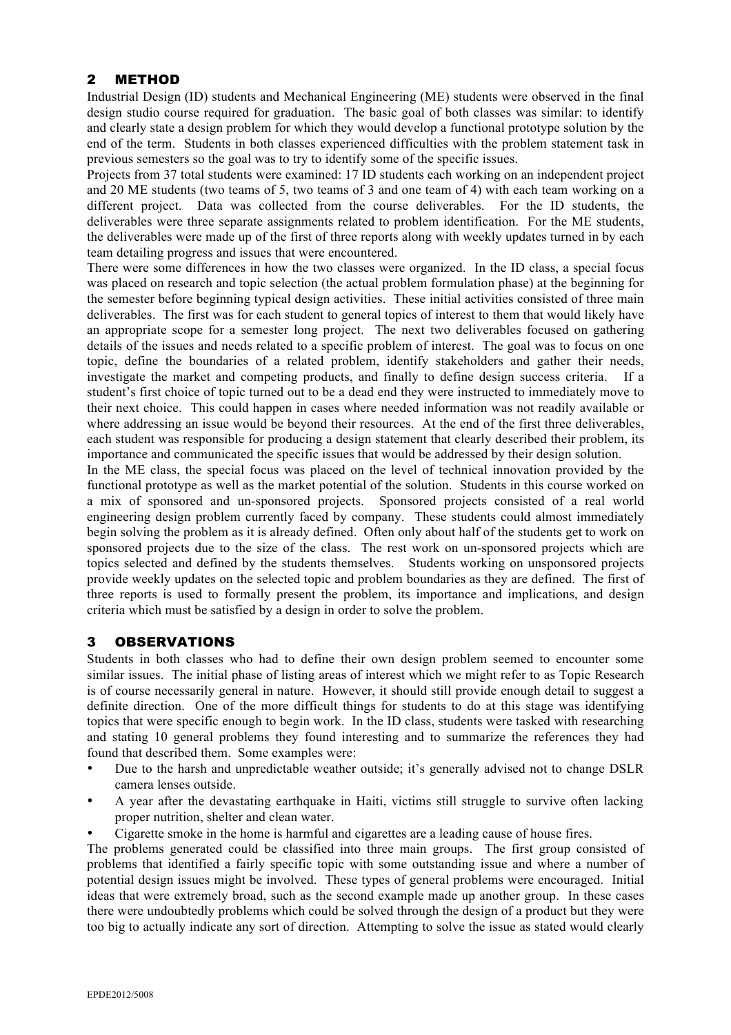# 2 METHOD

Industrial Design (ID) students and Mechanical Engineering (ME) students were observed in the final design studio course required for graduation. The basic goal of both classes was similar: to identify and clearly state a design problem for which they would develop a functional prototype solution by the end of the term. Students in both classes experienced difficulties with the problem statement task in previous semesters so the goal was to try to identify some of the specific issues.

Projects from 37 total students were examined: 17 ID students each working on an independent project and 20 ME students (two teams of 5, two teams of 3 and one team of 4) with each team working on a different project. Data was collected from the course deliverables. For the ID students, the deliverables were three separate assignments related to problem identification. For the ME students, the deliverables were made up of the first of three reports along with weekly updates turned in by each team detailing progress and issues that were encountered.

There were some differences in how the two classes were organized. In the ID class, a special focus was placed on research and topic selection (the actual problem formulation phase) at the beginning for the semester before beginning typical design activities. These initial activities consisted of three main deliverables. The first was for each student to general topics of interest to them that would likely have an appropriate scope for a semester long project. The next two deliverables focused on gathering details of the issues and needs related to a specific problem of interest. The goal was to focus on one topic, define the boundaries of a related problem, identify stakeholders and gather their needs, investigate the market and competing products, and finally to define design success criteria. If a student's first choice of topic turned out to be a dead end they were instructed to immediately move to their next choice. This could happen in cases where needed information was not readily available or where addressing an issue would be beyond their resources. At the end of the first three deliverables, each student was responsible for producing a design statement that clearly described their problem, its importance and communicated the specific issues that would be addressed by their design solution.

In the ME class, the special focus was placed on the level of technical innovation provided by the functional prototype as well as the market potential of the solution. Students in this course worked on a mix of sponsored and un-sponsored projects. Sponsored projects consisted of a real world engineering design problem currently faced by company. These students could almost immediately begin solving the problem as it is already defined. Often only about half of the students get to work on sponsored projects due to the size of the class. The rest work on un-sponsored projects which are topics selected and defined by the students themselves. Students working on unsponsored projects provide weekly updates on the selected topic and problem boundaries as they are defined. The first of three reports is used to formally present the problem, its importance and implications, and design criteria which must be satisfied by a design in order to solve the problem.

# 3 OBSERVATIONS

Students in both classes who had to define their own design problem seemed to encounter some similar issues. The initial phase of listing areas of interest which we might refer to as Topic Research is of course necessarily general in nature. However, it should still provide enough detail to suggest a definite direction. One of the more difficult things for students to do at this stage was identifying topics that were specific enough to begin work. In the ID class, students were tasked with researching and stating 10 general problems they found interesting and to summarize the references they had found that described them. Some examples were:

- Due to the harsh and unpredictable weather outside; it's generally advised not to change DSLR camera lenses outside.
- A year after the devastating earthquake in Haiti, victims still struggle to survive often lacking proper nutrition, shelter and clean water.
- Cigarette smoke in the home is harmful and cigarettes are a leading cause of house fires.

The problems generated could be classified into three main groups. The first group consisted of problems that identified a fairly specific topic with some outstanding issue and where a number of potential design issues might be involved. These types of general problems were encouraged. Initial ideas that were extremely broad, such as the second example made up another group. In these cases there were undoubtedly problems which could be solved through the design of a product but they were too big to actually indicate any sort of direction. Attempting to solve the issue as stated would clearly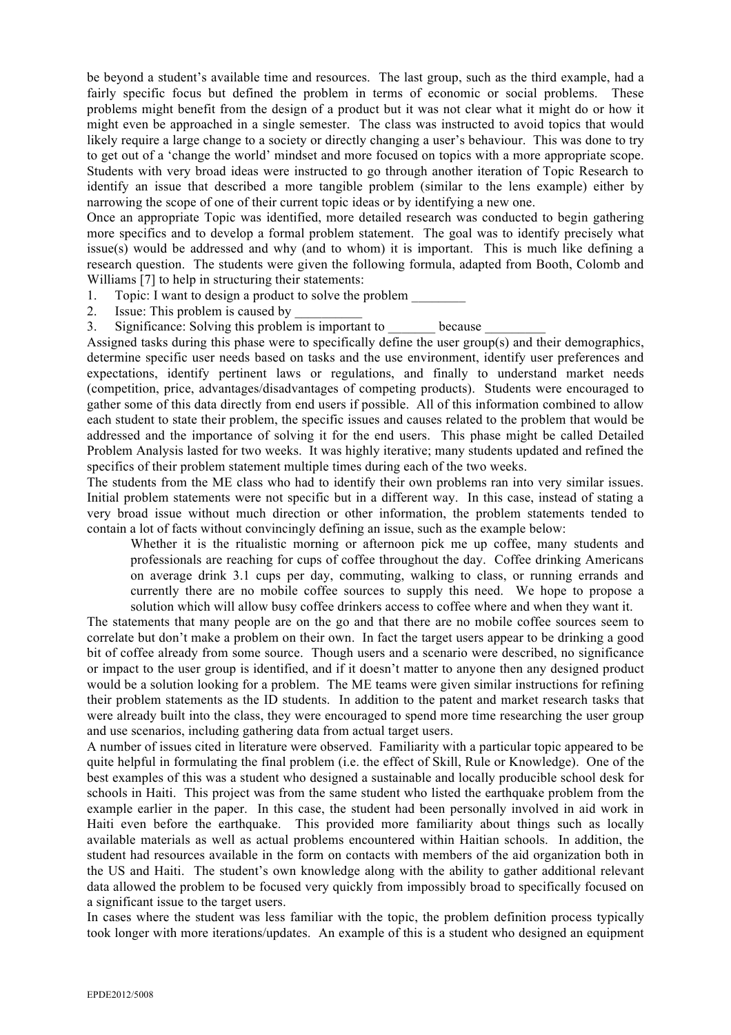be beyond a student's available time and resources. The last group, such as the third example, had a fairly specific focus but defined the problem in terms of economic or social problems. These problems might benefit from the design of a product but it was not clear what it might do or how it might even be approached in a single semester. The class was instructed to avoid topics that would likely require a large change to a society or directly changing a user's behaviour. This was done to try to get out of a 'change the world' mindset and more focused on topics with a more appropriate scope. Students with very broad ideas were instructed to go through another iteration of Topic Research to identify an issue that described a more tangible problem (similar to the lens example) either by narrowing the scope of one of their current topic ideas or by identifying a new one.

Once an appropriate Topic was identified, more detailed research was conducted to begin gathering more specifics and to develop a formal problem statement. The goal was to identify precisely what issue(s) would be addressed and why (and to whom) it is important. This is much like defining a research question. The students were given the following formula, adapted from Booth, Colomb and Williams [7] to help in structuring their statements:

- 1. Topic: I want to design a product to solve the problem
- 2. Issue: This problem is caused by
- 3. Significance: Solving this problem is important to because

Assigned tasks during this phase were to specifically define the user group(s) and their demographics, determine specific user needs based on tasks and the use environment, identify user preferences and expectations, identify pertinent laws or regulations, and finally to understand market needs (competition, price, advantages/disadvantages of competing products). Students were encouraged to gather some of this data directly from end users if possible. All of this information combined to allow each student to state their problem, the specific issues and causes related to the problem that would be addressed and the importance of solving it for the end users. This phase might be called Detailed Problem Analysis lasted for two weeks. It was highly iterative; many students updated and refined the specifics of their problem statement multiple times during each of the two weeks.

The students from the ME class who had to identify their own problems ran into very similar issues. Initial problem statements were not specific but in a different way. In this case, instead of stating a very broad issue without much direction or other information, the problem statements tended to contain a lot of facts without convincingly defining an issue, such as the example below:

Whether it is the ritualistic morning or afternoon pick me up coffee, many students and professionals are reaching for cups of coffee throughout the day. Coffee drinking Americans on average drink 3.1 cups per day, commuting, walking to class, or running errands and currently there are no mobile coffee sources to supply this need. We hope to propose a solution which will allow busy coffee drinkers access to coffee where and when they want it.

The statements that many people are on the go and that there are no mobile coffee sources seem to correlate but don't make a problem on their own. In fact the target users appear to be drinking a good bit of coffee already from some source. Though users and a scenario were described, no significance or impact to the user group is identified, and if it doesn't matter to anyone then any designed product would be a solution looking for a problem. The ME teams were given similar instructions for refining their problem statements as the ID students. In addition to the patent and market research tasks that were already built into the class, they were encouraged to spend more time researching the user group and use scenarios, including gathering data from actual target users.

A number of issues cited in literature were observed. Familiarity with a particular topic appeared to be quite helpful in formulating the final problem (i.e. the effect of Skill, Rule or Knowledge). One of the best examples of this was a student who designed a sustainable and locally producible school desk for schools in Haiti. This project was from the same student who listed the earthquake problem from the example earlier in the paper. In this case, the student had been personally involved in aid work in Haiti even before the earthquake. This provided more familiarity about things such as locally available materials as well as actual problems encountered within Haitian schools. In addition, the student had resources available in the form on contacts with members of the aid organization both in the US and Haiti. The student's own knowledge along with the ability to gather additional relevant data allowed the problem to be focused very quickly from impossibly broad to specifically focused on a significant issue to the target users.

In cases where the student was less familiar with the topic, the problem definition process typically took longer with more iterations/updates. An example of this is a student who designed an equipment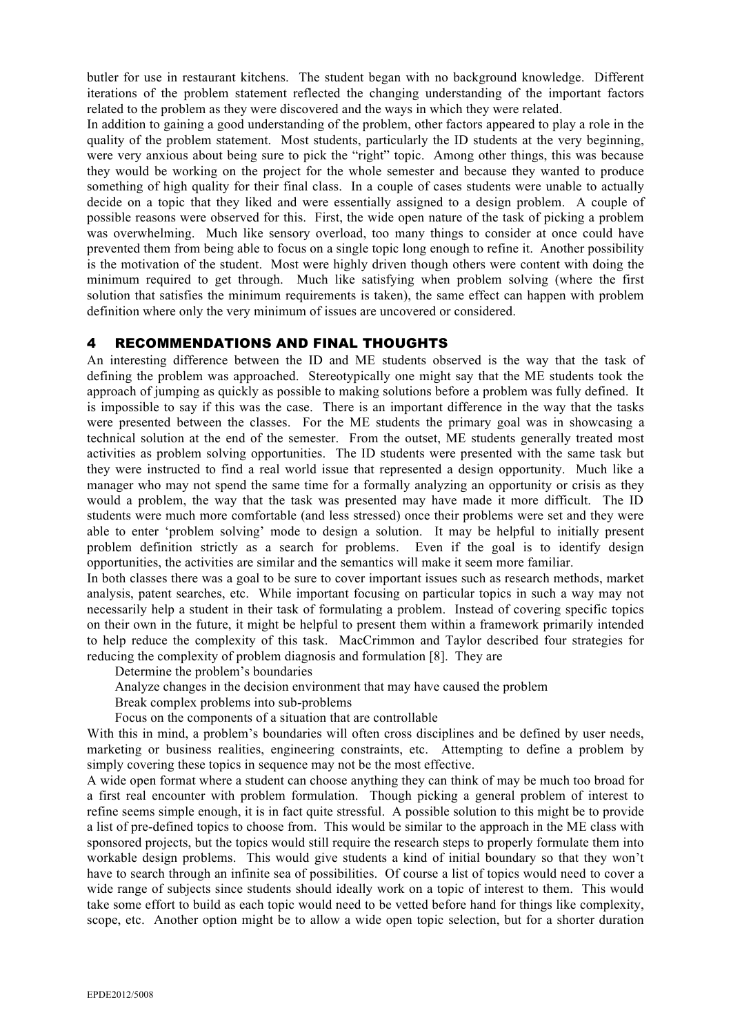butler for use in restaurant kitchens. The student began with no background knowledge. Different iterations of the problem statement reflected the changing understanding of the important factors related to the problem as they were discovered and the ways in which they were related.

In addition to gaining a good understanding of the problem, other factors appeared to play a role in the quality of the problem statement. Most students, particularly the ID students at the very beginning, were very anxious about being sure to pick the "right" topic. Among other things, this was because they would be working on the project for the whole semester and because they wanted to produce something of high quality for their final class. In a couple of cases students were unable to actually decide on a topic that they liked and were essentially assigned to a design problem. A couple of possible reasons were observed for this. First, the wide open nature of the task of picking a problem was overwhelming. Much like sensory overload, too many things to consider at once could have prevented them from being able to focus on a single topic long enough to refine it. Another possibility is the motivation of the student. Most were highly driven though others were content with doing the minimum required to get through. Much like satisfying when problem solving (where the first solution that satisfies the minimum requirements is taken), the same effect can happen with problem definition where only the very minimum of issues are uncovered or considered.

## 4 RECOMMENDATIONS AND FINAL THOUGHTS

An interesting difference between the ID and ME students observed is the way that the task of defining the problem was approached. Stereotypically one might say that the ME students took the approach of jumping as quickly as possible to making solutions before a problem was fully defined. It is impossible to say if this was the case. There is an important difference in the way that the tasks were presented between the classes. For the ME students the primary goal was in showcasing a technical solution at the end of the semester. From the outset, ME students generally treated most activities as problem solving opportunities. The ID students were presented with the same task but they were instructed to find a real world issue that represented a design opportunity. Much like a manager who may not spend the same time for a formally analyzing an opportunity or crisis as they would a problem, the way that the task was presented may have made it more difficult. The ID students were much more comfortable (and less stressed) once their problems were set and they were able to enter 'problem solving' mode to design a solution. It may be helpful to initially present problem definition strictly as a search for problems. Even if the goal is to identify design opportunities, the activities are similar and the semantics will make it seem more familiar.

In both classes there was a goal to be sure to cover important issues such as research methods, market analysis, patent searches, etc. While important focusing on particular topics in such a way may not necessarily help a student in their task of formulating a problem. Instead of covering specific topics on their own in the future, it might be helpful to present them within a framework primarily intended to help reduce the complexity of this task. MacCrimmon and Taylor described four strategies for reducing the complexity of problem diagnosis and formulation [8]. They are

Determine the problem's boundaries

Analyze changes in the decision environment that may have caused the problem

Break complex problems into sub-problems

Focus on the components of a situation that are controllable

With this in mind, a problem's boundaries will often cross disciplines and be defined by user needs, marketing or business realities, engineering constraints, etc. Attempting to define a problem by simply covering these topics in sequence may not be the most effective.

A wide open format where a student can choose anything they can think of may be much too broad for a first real encounter with problem formulation. Though picking a general problem of interest to refine seems simple enough, it is in fact quite stressful. A possible solution to this might be to provide a list of pre-defined topics to choose from. This would be similar to the approach in the ME class with sponsored projects, but the topics would still require the research steps to properly formulate them into workable design problems. This would give students a kind of initial boundary so that they won't have to search through an infinite sea of possibilities. Of course a list of topics would need to cover a wide range of subjects since students should ideally work on a topic of interest to them. This would take some effort to build as each topic would need to be vetted before hand for things like complexity, scope, etc. Another option might be to allow a wide open topic selection, but for a shorter duration